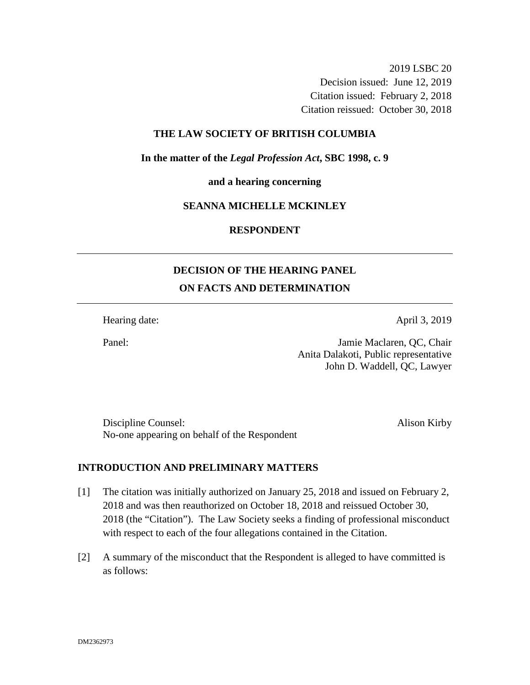2019 LSBC 20 Decision issued: June 12, 2019 Citation issued: February 2, 2018 Citation reissued: October 30, 2018

### **THE LAW SOCIETY OF BRITISH COLUMBIA**

**In the matter of the** *Legal Profession Act***, SBC 1998, c. 9** 

**and a hearing concerning**

# **SEANNA MICHELLE MCKINLEY**

**RESPONDENT**

# **DECISION OF THE HEARING PANEL ON FACTS AND DETERMINATION**

Hearing date: April 3, 2019

Panel: Jamie Maclaren, QC, Chair Anita Dalakoti, Public representative John D. Waddell, QC, Lawyer

Discipline Counsel: Alison Kirby No-one appearing on behalf of the Respondent

#### **INTRODUCTION AND PRELIMINARY MATTERS**

- [1] The citation was initially authorized on January 25, 2018 and issued on February 2, 2018 and was then reauthorized on October 18, 2018 and reissued October 30, 2018 (the "Citation"). The Law Society seeks a finding of professional misconduct with respect to each of the four allegations contained in the Citation.
- [2] A summary of the misconduct that the Respondent is alleged to have committed is as follows: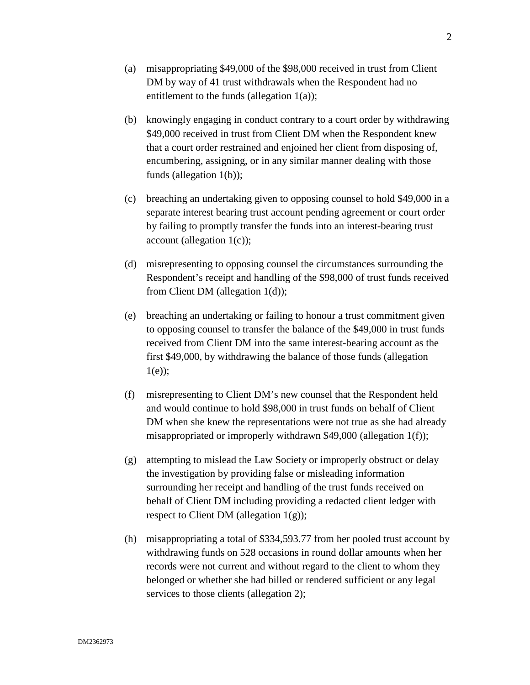- (a) misappropriating \$49,000 of the \$98,000 received in trust from Client DM by way of 41 trust withdrawals when the Respondent had no entitlement to the funds (allegation 1(a));
- (b) knowingly engaging in conduct contrary to a court order by withdrawing \$49,000 received in trust from Client DM when the Respondent knew that a court order restrained and enjoined her client from disposing of, encumbering, assigning, or in any similar manner dealing with those funds (allegation 1(b));
- (c) breaching an undertaking given to opposing counsel to hold \$49,000 in a separate interest bearing trust account pending agreement or court order by failing to promptly transfer the funds into an interest-bearing trust account (allegation 1(c));
- (d) misrepresenting to opposing counsel the circumstances surrounding the Respondent's receipt and handling of the \$98,000 of trust funds received from Client DM (allegation 1(d));
- (e) breaching an undertaking or failing to honour a trust commitment given to opposing counsel to transfer the balance of the \$49,000 in trust funds received from Client DM into the same interest-bearing account as the first \$49,000, by withdrawing the balance of those funds (allegation  $1(e)$ ;
- (f) misrepresenting to Client DM's new counsel that the Respondent held and would continue to hold \$98,000 in trust funds on behalf of Client DM when she knew the representations were not true as she had already misappropriated or improperly withdrawn \$49,000 (allegation 1(f));
- (g) attempting to mislead the Law Society or improperly obstruct or delay the investigation by providing false or misleading information surrounding her receipt and handling of the trust funds received on behalf of Client DM including providing a redacted client ledger with respect to Client DM (allegation  $1(g)$ );
- (h) misappropriating a total of \$334,593.77 from her pooled trust account by withdrawing funds on 528 occasions in round dollar amounts when her records were not current and without regard to the client to whom they belonged or whether she had billed or rendered sufficient or any legal services to those clients (allegation 2);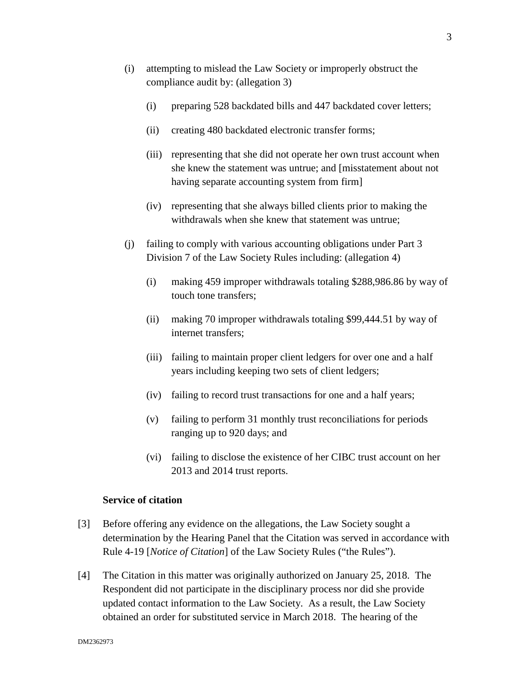- (i) attempting to mislead the Law Society or improperly obstruct the compliance audit by: (allegation 3)
	- (i) preparing 528 backdated bills and 447 backdated cover letters;
	- (ii) creating 480 backdated electronic transfer forms;
	- (iii) representing that she did not operate her own trust account when she knew the statement was untrue; and [misstatement about not having separate accounting system from firm]
	- (iv) representing that she always billed clients prior to making the withdrawals when she knew that statement was untrue;
- (j) failing to comply with various accounting obligations under Part 3 Division 7 of the Law Society Rules including: (allegation 4)
	- (i) making 459 improper withdrawals totaling \$288,986.86 by way of touch tone transfers;
	- (ii) making 70 improper withdrawals totaling \$99,444.51 by way of internet transfers;
	- (iii) failing to maintain proper client ledgers for over one and a half years including keeping two sets of client ledgers;
	- (iv) failing to record trust transactions for one and a half years;
	- (v) failing to perform 31 monthly trust reconciliations for periods ranging up to 920 days; and
	- (vi) failing to disclose the existence of her CIBC trust account on her 2013 and 2014 trust reports.

### **Service of citation**

- [3] Before offering any evidence on the allegations, the Law Society sought a determination by the Hearing Panel that the Citation was served in accordance with Rule 4-19 [*Notice of Citation*] of the Law Society Rules ("the Rules").
- [4] The Citation in this matter was originally authorized on January 25, 2018. The Respondent did not participate in the disciplinary process nor did she provide updated contact information to the Law Society. As a result, the Law Society obtained an order for substituted service in March 2018. The hearing of the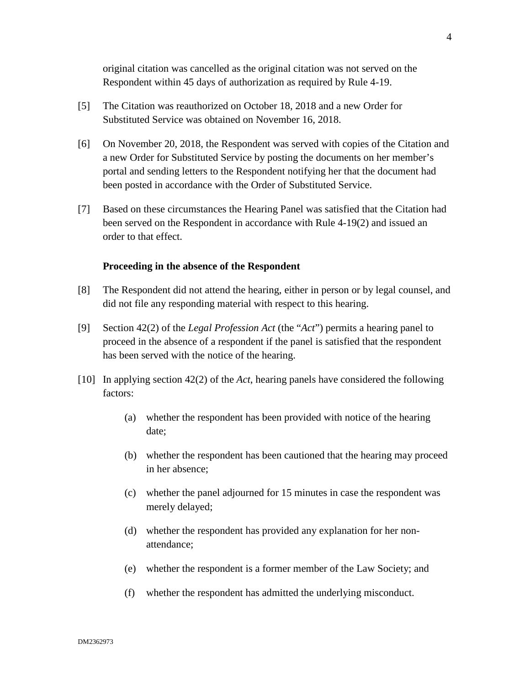original citation was cancelled as the original citation was not served on the Respondent within 45 days of authorization as required by Rule 4-19.

- [5] The Citation was reauthorized on October 18, 2018 and a new Order for Substituted Service was obtained on November 16, 2018.
- [6] On November 20, 2018, the Respondent was served with copies of the Citation and a new Order for Substituted Service by posting the documents on her member's portal and sending letters to the Respondent notifying her that the document had been posted in accordance with the Order of Substituted Service.
- [7] Based on these circumstances the Hearing Panel was satisfied that the Citation had been served on the Respondent in accordance with Rule 4-19(2) and issued an order to that effect.

#### **Proceeding in the absence of the Respondent**

- [8] The Respondent did not attend the hearing, either in person or by legal counsel, and did not file any responding material with respect to this hearing.
- [9] Section 42(2) of the *Legal Profession Act* (the "*Act*") permits a hearing panel to proceed in the absence of a respondent if the panel is satisfied that the respondent has been served with the notice of the hearing.
- [10] In applying section 42(2) of the *Act*, hearing panels have considered the following factors:
	- (a) whether the respondent has been provided with notice of the hearing date;
	- (b) whether the respondent has been cautioned that the hearing may proceed in her absence;
	- (c) whether the panel adjourned for 15 minutes in case the respondent was merely delayed;
	- (d) whether the respondent has provided any explanation for her nonattendance;
	- (e) whether the respondent is a former member of the Law Society; and
	- (f) whether the respondent has admitted the underlying misconduct.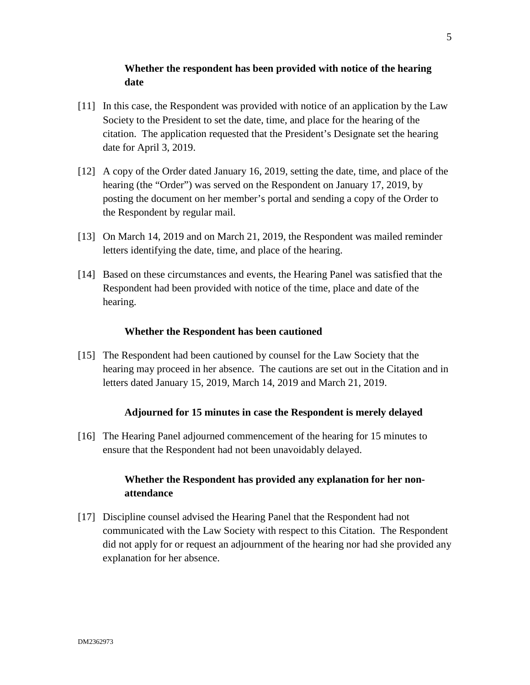# **Whether the respondent has been provided with notice of the hearing date**

- [11] In this case, the Respondent was provided with notice of an application by the Law Society to the President to set the date, time, and place for the hearing of the citation. The application requested that the President's Designate set the hearing date for April 3, 2019.
- [12] A copy of the Order dated January 16, 2019, setting the date, time, and place of the hearing (the "Order") was served on the Respondent on January 17, 2019, by posting the document on her member's portal and sending a copy of the Order to the Respondent by regular mail.
- [13] On March 14, 2019 and on March 21, 2019, the Respondent was mailed reminder letters identifying the date, time, and place of the hearing.
- [14] Based on these circumstances and events, the Hearing Panel was satisfied that the Respondent had been provided with notice of the time, place and date of the hearing.

# **Whether the Respondent has been cautioned**

[15] The Respondent had been cautioned by counsel for the Law Society that the hearing may proceed in her absence. The cautions are set out in the Citation and in letters dated January 15, 2019, March 14, 2019 and March 21, 2019.

# **Adjourned for 15 minutes in case the Respondent is merely delayed**

[16] The Hearing Panel adjourned commencement of the hearing for 15 minutes to ensure that the Respondent had not been unavoidably delayed.

# **Whether the Respondent has provided any explanation for her nonattendance**

[17] Discipline counsel advised the Hearing Panel that the Respondent had not communicated with the Law Society with respect to this Citation. The Respondent did not apply for or request an adjournment of the hearing nor had she provided any explanation for her absence.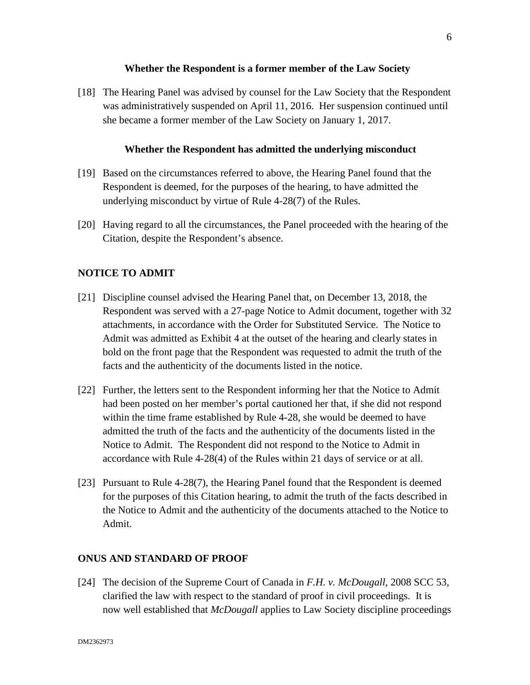### **Whether the Respondent is a former member of the Law Society**

[18] The Hearing Panel was advised by counsel for the Law Society that the Respondent was administratively suspended on April 11, 2016. Her suspension continued until she became a former member of the Law Society on January 1, 2017.

## **Whether the Respondent has admitted the underlying misconduct**

- [19] Based on the circumstances referred to above, the Hearing Panel found that the Respondent is deemed, for the purposes of the hearing, to have admitted the underlying misconduct by virtue of Rule 4-28(7) of the Rules.
- [20] Having regard to all the circumstances, the Panel proceeded with the hearing of the Citation, despite the Respondent's absence.

# **NOTICE TO ADMIT**

- [21] Discipline counsel advised the Hearing Panel that, on December 13, 2018, the Respondent was served with a 27-page Notice to Admit document, together with 32 attachments, in accordance with the Order for Substituted Service. The Notice to Admit was admitted as Exhibit 4 at the outset of the hearing and clearly states in bold on the front page that the Respondent was requested to admit the truth of the facts and the authenticity of the documents listed in the notice.
- [22] Further, the letters sent to the Respondent informing her that the Notice to Admit had been posted on her member's portal cautioned her that, if she did not respond within the time frame established by Rule 4-28, she would be deemed to have admitted the truth of the facts and the authenticity of the documents listed in the Notice to Admit. The Respondent did not respond to the Notice to Admit in accordance with Rule 4-28(4) of the Rules within 21 days of service or at all.
- [23] Pursuant to Rule 4-28(7), the Hearing Panel found that the Respondent is deemed for the purposes of this Citation hearing, to admit the truth of the facts described in the Notice to Admit and the authenticity of the documents attached to the Notice to Admit.

# **ONUS AND STANDARD OF PROOF**

[24] The decision of the Supreme Court of Canada in *F.H. v. McDougall*, 2008 SCC 53, clarified the law with respect to the standard of proof in civil proceedings. It is now well established that *McDougall* applies to Law Society discipline proceedings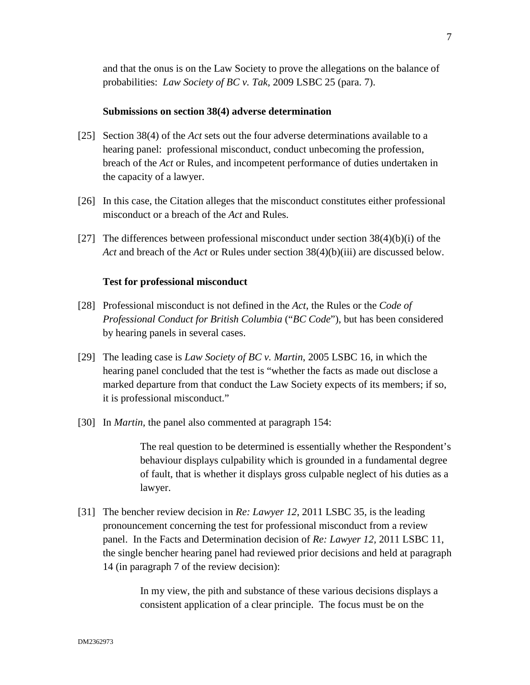and that the onus is on the Law Society to prove the allegations on the balance of probabilities: *Law Society of BC v. Tak,* 2009 LSBC 25 (para. 7).

#### **Submissions on section 38(4) adverse determination**

- [25] Section 38(4) of the *Act* sets out the four adverse determinations available to a hearing panel: professional misconduct, conduct unbecoming the profession, breach of the *Act* or Rules, and incompetent performance of duties undertaken in the capacity of a lawyer.
- [26] In this case, the Citation alleges that the misconduct constitutes either professional misconduct or a breach of the *Act* and Rules.
- [27] The differences between professional misconduct under section  $38(4)(b)(i)$  of the *Act* and breach of the *Act* or Rules under section 38(4)(b)(iii) are discussed below.

### **Test for professional misconduct**

- [28] Professional misconduct is not defined in the *Act*, the Rules or the *Code of Professional Conduct for British Columbia* ("*BC Code*"), but has been considered by hearing panels in several cases.
- [29] The leading case is *Law Society of BC v. Martin*, 2005 LSBC 16, in which the hearing panel concluded that the test is "whether the facts as made out disclose a marked departure from that conduct the Law Society expects of its members; if so, it is professional misconduct."
- [30] In *Martin,* the panel also commented at paragraph 154:

The real question to be determined is essentially whether the Respondent's behaviour displays culpability which is grounded in a fundamental degree of fault, that is whether it displays gross culpable neglect of his duties as a lawyer.

[31] The bencher review decision in *Re: Lawyer 12*, 2011 LSBC 35, is the leading pronouncement concerning the test for professional misconduct from a review panel. In the Facts and Determination decision of *Re: Lawyer 12,* 2011 LSBC 11, the single bencher hearing panel had reviewed prior decisions and held at paragraph 14 (in paragraph 7 of the review decision):

> In my view, the pith and substance of these various decisions displays a consistent application of a clear principle. The focus must be on the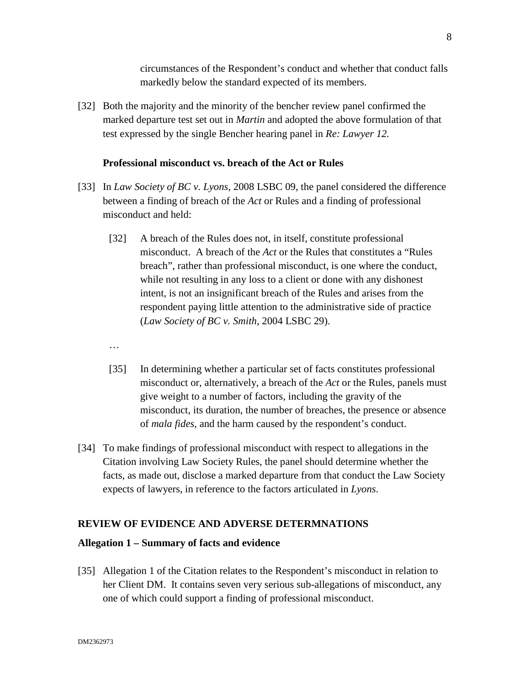circumstances of the Respondent's conduct and whether that conduct falls markedly below the standard expected of its members.

[32] Both the majority and the minority of the bencher review panel confirmed the marked departure test set out in *Martin* and adopted the above formulation of that test expressed by the single Bencher hearing panel in *Re: Lawyer 12.*

#### **Professional misconduct vs. breach of the Act or Rules**

- [33] In *Law Society of BC v. Lyons*, 2008 LSBC 09, the panel considered the difference between a finding of breach of the *Act* or Rules and a finding of professional misconduct and held:
	- [32] A breach of the Rules does not, in itself, constitute professional misconduct. A breach of the *Act* or the Rules that constitutes a "Rules breach", rather than professional misconduct, is one where the conduct, while not resulting in any loss to a client or done with any dishonest intent, is not an insignificant breach of the Rules and arises from the respondent paying little attention to the administrative side of practice (*Law Society of BC v. Smith*, 2004 LSBC 29).
	- …
	- [35] In determining whether a particular set of facts constitutes professional misconduct or, alternatively, a breach of the *Act* or the Rules, panels must give weight to a number of factors, including the gravity of the misconduct, its duration, the number of breaches, the presence or absence of *mala fides*, and the harm caused by the respondent's conduct.
- [34] To make findings of professional misconduct with respect to allegations in the Citation involving Law Society Rules, the panel should determine whether the facts, as made out, disclose a marked departure from that conduct the Law Society expects of lawyers, in reference to the factors articulated in *Lyons*.

# **REVIEW OF EVIDENCE AND ADVERSE DETERMNATIONS**

#### **Allegation 1 – Summary of facts and evidence**

[35] Allegation 1 of the Citation relates to the Respondent's misconduct in relation to her Client DM. It contains seven very serious sub-allegations of misconduct, any one of which could support a finding of professional misconduct.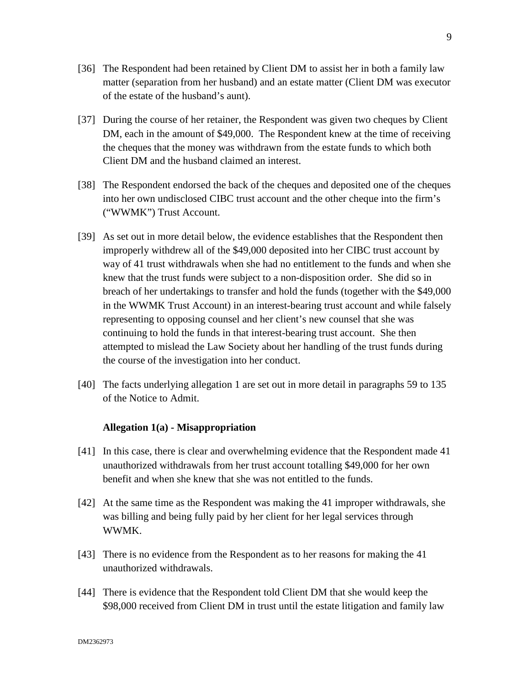- [36] The Respondent had been retained by Client DM to assist her in both a family law matter (separation from her husband) and an estate matter (Client DM was executor of the estate of the husband's aunt).
- [37] During the course of her retainer, the Respondent was given two cheques by Client DM, each in the amount of \$49,000. The Respondent knew at the time of receiving the cheques that the money was withdrawn from the estate funds to which both Client DM and the husband claimed an interest.
- [38] The Respondent endorsed the back of the cheques and deposited one of the cheques into her own undisclosed CIBC trust account and the other cheque into the firm's ("WWMK") Trust Account.
- [39] As set out in more detail below, the evidence establishes that the Respondent then improperly withdrew all of the \$49,000 deposited into her CIBC trust account by way of 41 trust withdrawals when she had no entitlement to the funds and when she knew that the trust funds were subject to a non-disposition order. She did so in breach of her undertakings to transfer and hold the funds (together with the \$49,000 in the WWMK Trust Account) in an interest-bearing trust account and while falsely representing to opposing counsel and her client's new counsel that she was continuing to hold the funds in that interest-bearing trust account. She then attempted to mislead the Law Society about her handling of the trust funds during the course of the investigation into her conduct.
- [40] The facts underlying allegation 1 are set out in more detail in paragraphs 59 to 135 of the Notice to Admit.

# **Allegation 1(a) - Misappropriation**

- [41] In this case, there is clear and overwhelming evidence that the Respondent made 41 unauthorized withdrawals from her trust account totalling \$49,000 for her own benefit and when she knew that she was not entitled to the funds.
- [42] At the same time as the Respondent was making the 41 improper withdrawals, she was billing and being fully paid by her client for her legal services through WWMK.
- [43] There is no evidence from the Respondent as to her reasons for making the 41 unauthorized withdrawals.
- [44] There is evidence that the Respondent told Client DM that she would keep the \$98,000 received from Client DM in trust until the estate litigation and family law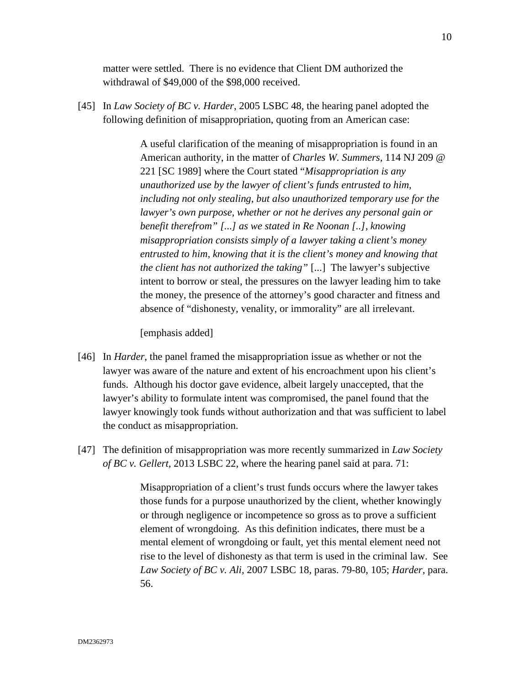matter were settled. There is no evidence that Client DM authorized the withdrawal of \$49,000 of the \$98,000 received.

[45] In *Law Society of BC v. Harder*, 2005 LSBC 48, the hearing panel adopted the following definition of misappropriation, quoting from an American case:

> A useful clarification of the meaning of misappropriation is found in an American authority, in the matter of *Charles W. Summers,* 114 NJ 209 @ 221 [SC 1989] where the Court stated "*Misappropriation is any unauthorized use by the lawyer of client's funds entrusted to him, including not only stealing, but also unauthorized temporary use for the lawyer's own purpose, whether or not he derives any personal gain or benefit therefrom" [...] as we stated in Re Noonan [..], knowing misappropriation consists simply of a lawyer taking a client's money entrusted to him, knowing that it is the client's money and knowing that the client has not authorized the taking"* [...] The lawyer's subjective intent to borrow or steal, the pressures on the lawyer leading him to take the money, the presence of the attorney's good character and fitness and absence of "dishonesty, venality, or immorality" are all irrelevant.

[emphasis added]

- [46] In *Harder*, the panel framed the misappropriation issue as whether or not the lawyer was aware of the nature and extent of his encroachment upon his client's funds. Although his doctor gave evidence, albeit largely unaccepted, that the lawyer's ability to formulate intent was compromised, the panel found that the lawyer knowingly took funds without authorization and that was sufficient to label the conduct as misappropriation.
- [47] The definition of misappropriation was more recently summarized in *Law Society of BC v. Gellert,* 2013 LSBC 22, where the hearing panel said at para. 71:

Misappropriation of a client's trust funds occurs where the lawyer takes those funds for a purpose unauthorized by the client, whether knowingly or through negligence or incompetence so gross as to prove a sufficient element of wrongdoing. As this definition indicates, there must be a mental element of wrongdoing or fault, yet this mental element need not rise to the level of dishonesty as that term is used in the criminal law. See *Law Society of BC v. Ali*, 2007 LSBC 18, paras. 79-80, 105; *Harder*, para. 56.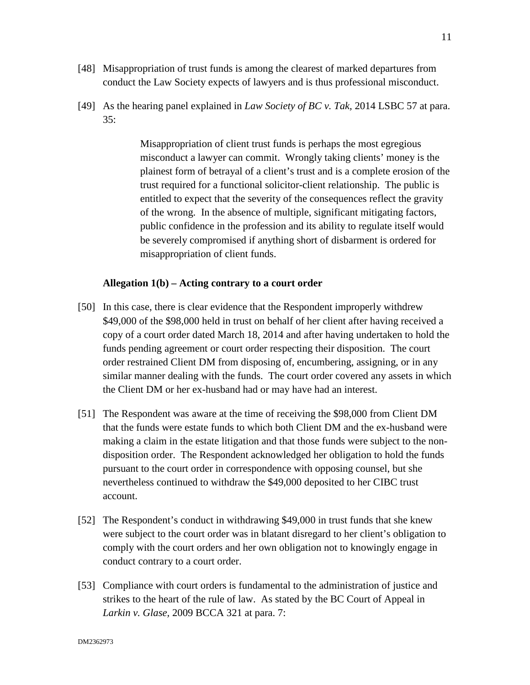- [48] Misappropriation of trust funds is among the clearest of marked departures from conduct the Law Society expects of lawyers and is thus professional misconduct.
- [49] As the hearing panel explained in *Law Society of BC v. Tak,* 2014 LSBC 57 at para. 35:

Misappropriation of client trust funds is perhaps the most egregious misconduct a lawyer can commit. Wrongly taking clients' money is the plainest form of betrayal of a client's trust and is a complete erosion of the trust required for a functional solicitor-client relationship. The public is entitled to expect that the severity of the consequences reflect the gravity of the wrong. In the absence of multiple, significant mitigating factors, public confidence in the profession and its ability to regulate itself would be severely compromised if anything short of disbarment is ordered for misappropriation of client funds.

# **Allegation 1(b) – Acting contrary to a court order**

- [50] In this case, there is clear evidence that the Respondent improperly withdrew \$49,000 of the \$98,000 held in trust on behalf of her client after having received a copy of a court order dated March 18, 2014 and after having undertaken to hold the funds pending agreement or court order respecting their disposition. The court order restrained Client DM from disposing of, encumbering, assigning, or in any similar manner dealing with the funds. The court order covered any assets in which the Client DM or her ex-husband had or may have had an interest.
- [51] The Respondent was aware at the time of receiving the \$98,000 from Client DM that the funds were estate funds to which both Client DM and the ex-husband were making a claim in the estate litigation and that those funds were subject to the nondisposition order. The Respondent acknowledged her obligation to hold the funds pursuant to the court order in correspondence with opposing counsel, but she nevertheless continued to withdraw the \$49,000 deposited to her CIBC trust account.
- [52] The Respondent's conduct in withdrawing \$49,000 in trust funds that she knew were subject to the court order was in blatant disregard to her client's obligation to comply with the court orders and her own obligation not to knowingly engage in conduct contrary to a court order.
- [53] Compliance with court orders is fundamental to the administration of justice and strikes to the heart of the rule of law. As stated by the BC Court of Appeal in *Larkin v. Glase,* 2009 BCCA 321 at para. 7: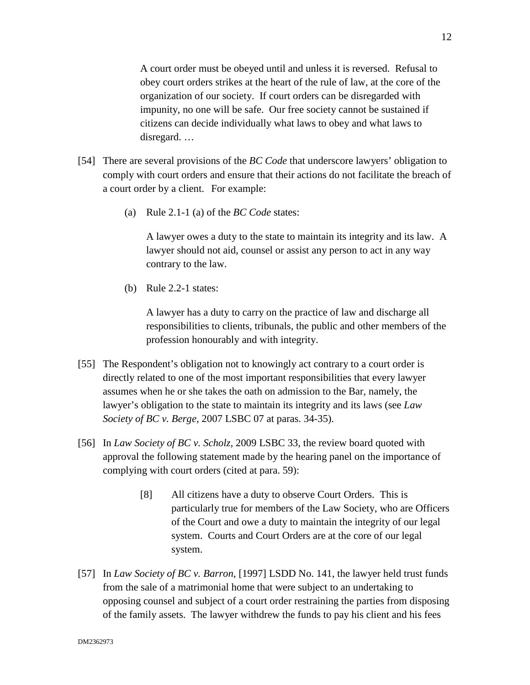12

A court order must be obeyed until and unless it is reversed. Refusal to obey court orders strikes at the heart of the rule of law, at the core of the organization of our society. If court orders can be disregarded with impunity, no one will be safe. Our free society cannot be sustained if citizens can decide individually what laws to obey and what laws to disregard. …

- [54] There are several provisions of the *BC Code* that underscore lawyers' obligation to comply with court orders and ensure that their actions do not facilitate the breach of a court order by a client. For example:
	- (a) Rule 2.1-1 (a) of the *BC Code* states:

A lawyer owes a duty to the state to maintain its integrity and its law. A lawyer should not aid, counsel or assist any person to act in any way contrary to the law.

(b) Rule 2.2-1 states:

A lawyer has a duty to carry on the practice of law and discharge all responsibilities to clients, tribunals, the public and other members of the profession honourably and with integrity.

- [55] The Respondent's obligation not to knowingly act contrary to a court order is directly related to one of the most important responsibilities that every lawyer assumes when he or she takes the oath on admission to the Bar, namely, the lawyer's obligation to the state to maintain its integrity and its laws (see *Law Society of BC v. Berge*, 2007 LSBC 07 at paras. 34-35).
- [56] In *Law Society of BC v. Scholz*, 2009 LSBC 33, the review board quoted with approval the following statement made by the hearing panel on the importance of complying with court orders (cited at para. 59):
	- [8] All citizens have a duty to observe Court Orders. This is particularly true for members of the Law Society, who are Officers of the Court and owe a duty to maintain the integrity of our legal system. Courts and Court Orders are at the core of our legal system.
- [57] In *Law Society of BC v. Barron*, [1997] LSDD No. 141, the lawyer held trust funds from the sale of a matrimonial home that were subject to an undertaking to opposing counsel and subject of a court order restraining the parties from disposing of the family assets. The lawyer withdrew the funds to pay his client and his fees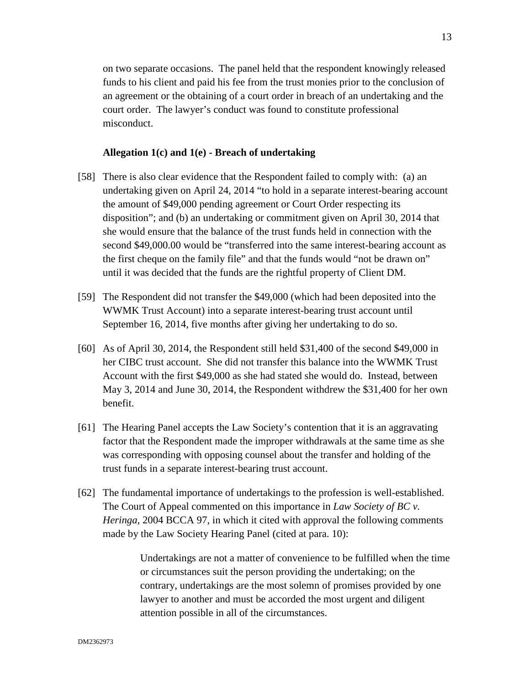on two separate occasions. The panel held that the respondent knowingly released funds to his client and paid his fee from the trust monies prior to the conclusion of an agreement or the obtaining of a court order in breach of an undertaking and the court order. The lawyer's conduct was found to constitute professional misconduct.

#### **Allegation 1(c) and 1(e) - Breach of undertaking**

- [58] There is also clear evidence that the Respondent failed to comply with: (a) an undertaking given on April 24, 2014 "to hold in a separate interest-bearing account the amount of \$49,000 pending agreement or Court Order respecting its disposition"; and (b) an undertaking or commitment given on April 30, 2014 that she would ensure that the balance of the trust funds held in connection with the second \$49,000.00 would be "transferred into the same interest-bearing account as the first cheque on the family file" and that the funds would "not be drawn on" until it was decided that the funds are the rightful property of Client DM.
- [59] The Respondent did not transfer the \$49,000 (which had been deposited into the WWMK Trust Account) into a separate interest-bearing trust account until September 16, 2014, five months after giving her undertaking to do so.
- [60] As of April 30, 2014, the Respondent still held \$31,400 of the second \$49,000 in her CIBC trust account. She did not transfer this balance into the WWMK Trust Account with the first \$49,000 as she had stated she would do. Instead, between May 3, 2014 and June 30, 2014, the Respondent withdrew the \$31,400 for her own benefit.
- [61] The Hearing Panel accepts the Law Society's contention that it is an aggravating factor that the Respondent made the improper withdrawals at the same time as she was corresponding with opposing counsel about the transfer and holding of the trust funds in a separate interest-bearing trust account.
- [62] The fundamental importance of undertakings to the profession is well-established. The Court of Appeal commented on this importance in *Law Society of BC v. Heringa*, 2004 BCCA 97, in which it cited with approval the following comments made by the Law Society Hearing Panel (cited at para. 10):

Undertakings are not a matter of convenience to be fulfilled when the time or circumstances suit the person providing the undertaking; on the contrary, undertakings are the most solemn of promises provided by one lawyer to another and must be accorded the most urgent and diligent attention possible in all of the circumstances.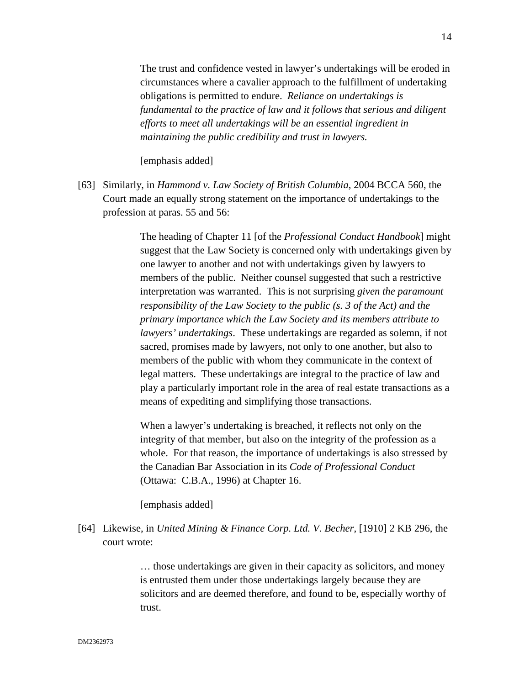The trust and confidence vested in lawyer's undertakings will be eroded in circumstances where a cavalier approach to the fulfillment of undertaking obligations is permitted to endure. *Reliance on undertakings is fundamental to the practice of law and it follows that serious and diligent efforts to meet all undertakings will be an essential ingredient in maintaining the public credibility and trust in lawyers.*

#### [emphasis added]

[63] Similarly, in *Hammond v. Law Society of British Columbia*, 2004 BCCA 560, the Court made an equally strong statement on the importance of undertakings to the profession at paras. 55 and 56:

> The heading of Chapter 11 [of the *Professional Conduct Handbook*] might suggest that the Law Society is concerned only with undertakings given by one lawyer to another and not with undertakings given by lawyers to members of the public. Neither counsel suggested that such a restrictive interpretation was warranted. This is not surprising *given the paramount responsibility of the Law Society to the public (s. 3 of the Act) and the primary importance which the Law Society and its members attribute to lawyers' undertakings*. These undertakings are regarded as solemn, if not sacred, promises made by lawyers, not only to one another, but also to members of the public with whom they communicate in the context of legal matters. These undertakings are integral to the practice of law and play a particularly important role in the area of real estate transactions as a means of expediting and simplifying those transactions.

When a lawyer's undertaking is breached, it reflects not only on the integrity of that member, but also on the integrity of the profession as a whole. For that reason, the importance of undertakings is also stressed by the Canadian Bar Association in its *Code of Professional Conduct* (Ottawa: C.B.A., 1996) at Chapter 16.

#### [emphasis added]

[64] Likewise, in *United Mining & Finance Corp. Ltd. V. Becher*, [1910] 2 KB 296, the court wrote:

> … those undertakings are given in their capacity as solicitors, and money is entrusted them under those undertakings largely because they are solicitors and are deemed therefore, and found to be, especially worthy of trust.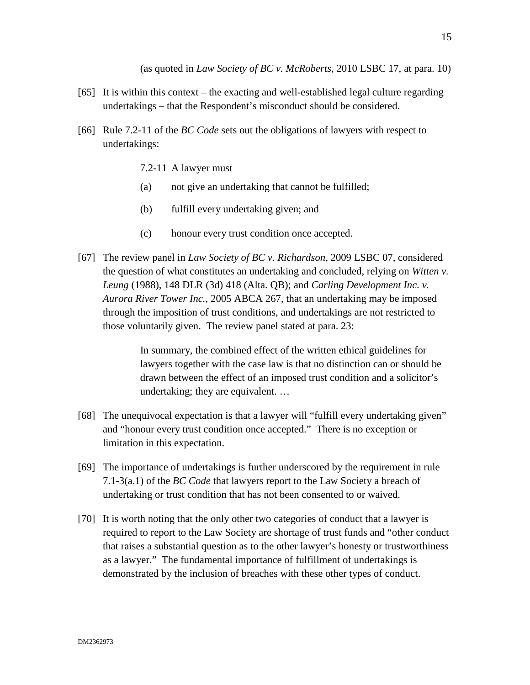(as quoted in *Law Society of BC v. McRoberts*, 2010 LSBC 17, at para. 10)

- [65] It is within this context the exacting and well-established legal culture regarding undertakings – that the Respondent's misconduct should be considered.
- [66] Rule 7.2-11 of the *BC Code* sets out the obligations of lawyers with respect to undertakings:
	- 7.2-11 A lawyer must
	- (a) not give an undertaking that cannot be fulfilled;
	- (b) fulfill every undertaking given; and
	- (c) honour every trust condition once accepted.
- [67] The review panel in *Law Society of BC v. Richardson,* 2009 LSBC 07, considered the question of what constitutes an undertaking and concluded, relying on *Witten v. Leung* (1988), 148 DLR (3d) 418 (Alta. QB); and *Carling Development Inc. v. Aurora River Tower Inc.*, 2005 ABCA 267, that an undertaking may be imposed through the imposition of trust conditions, and undertakings are not restricted to those voluntarily given. The review panel stated at para. 23:

In summary, the combined effect of the written ethical guidelines for lawyers together with the case law is that no distinction can or should be drawn between the effect of an imposed trust condition and a solicitor's undertaking; they are equivalent. …

- [68] The unequivocal expectation is that a lawyer will "fulfill every undertaking given" and "honour every trust condition once accepted." There is no exception or limitation in this expectation.
- [69] The importance of undertakings is further underscored by the requirement in rule 7.1-3(a.1) of the *BC Code* that lawyers report to the Law Society a breach of undertaking or trust condition that has not been consented to or waived.
- [70] It is worth noting that the only other two categories of conduct that a lawyer is required to report to the Law Society are shortage of trust funds and "other conduct that raises a substantial question as to the other lawyer's honesty or trustworthiness as a lawyer." The fundamental importance of fulfillment of undertakings is demonstrated by the inclusion of breaches with these other types of conduct.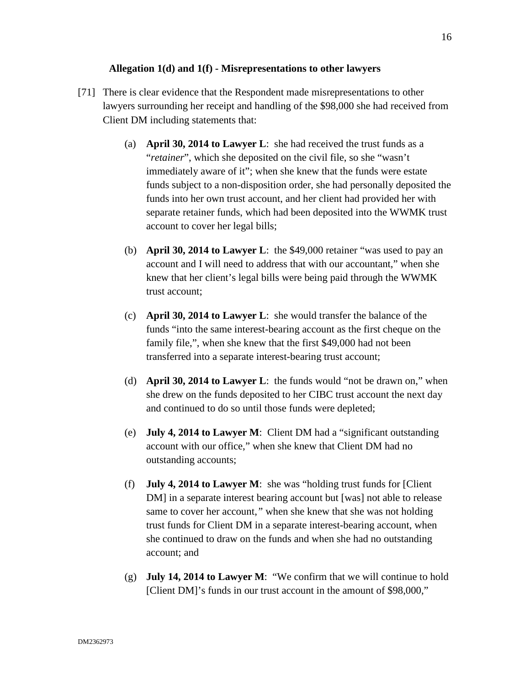### **Allegation 1(d) and 1(f) - Misrepresentations to other lawyers**

- [71] There is clear evidence that the Respondent made misrepresentations to other lawyers surrounding her receipt and handling of the \$98,000 she had received from Client DM including statements that:
	- (a) **April 30, 2014 to Lawyer L**: she had received the trust funds as a "*retainer*", which she deposited on the civil file, so she "wasn't immediately aware of it"; when she knew that the funds were estate funds subject to a non-disposition order, she had personally deposited the funds into her own trust account, and her client had provided her with separate retainer funds, which had been deposited into the WWMK trust account to cover her legal bills;
	- (b) **April 30, 2014 to Lawyer L**: the \$49,000 retainer "was used to pay an account and I will need to address that with our accountant," when she knew that her client's legal bills were being paid through the WWMK trust account;
	- (c) **April 30, 2014 to Lawyer L**: she would transfer the balance of the funds "into the same interest-bearing account as the first cheque on the family file,", when she knew that the first \$49,000 had not been transferred into a separate interest-bearing trust account;
	- (d) **April 30, 2014 to Lawyer L**: the funds would "not be drawn on," when she drew on the funds deposited to her CIBC trust account the next day and continued to do so until those funds were depleted;
	- (e) **July 4, 2014 to Lawyer M**: Client DM had a "significant outstanding account with our office," when she knew that Client DM had no outstanding accounts;
	- (f) **July 4, 2014 to Lawyer M**: she was "holding trust funds for [Client DM] in a separate interest bearing account but [was] not able to release same to cover her account,*"* when she knew that she was not holding trust funds for Client DM in a separate interest-bearing account, when she continued to draw on the funds and when she had no outstanding account; and
	- (g) **July 14, 2014 to Lawyer M**: "We confirm that we will continue to hold [Client DM]'s funds in our trust account in the amount of \$98,000,"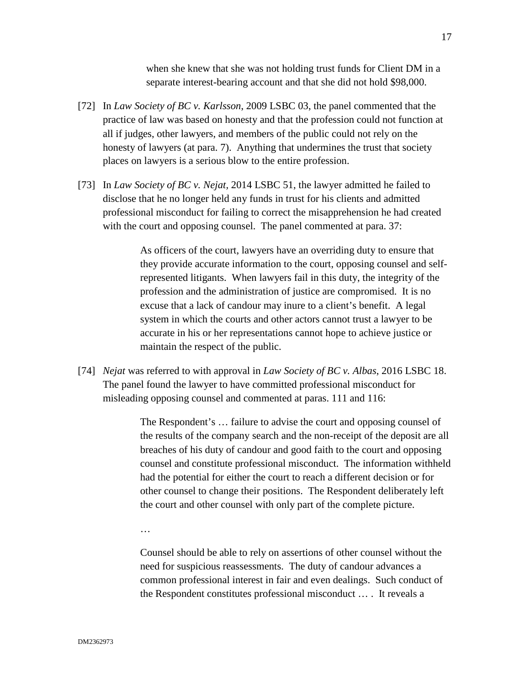when she knew that she was not holding trust funds for Client DM in a separate interest-bearing account and that she did not hold \$98,000.

- [72] In *Law Society of BC v. Karlsson*, 2009 LSBC 03, the panel commented that the practice of law was based on honesty and that the profession could not function at all if judges, other lawyers, and members of the public could not rely on the honesty of lawyers (at para. 7). Anything that undermines the trust that society places on lawyers is a serious blow to the entire profession.
- [73] In *Law Society of BC v. Nejat,* 2014 LSBC 51, the lawyer admitted he failed to disclose that he no longer held any funds in trust for his clients and admitted professional misconduct for failing to correct the misapprehension he had created with the court and opposing counsel. The panel commented at para. 37:

As officers of the court, lawyers have an overriding duty to ensure that they provide accurate information to the court, opposing counsel and selfrepresented litigants. When lawyers fail in this duty, the integrity of the profession and the administration of justice are compromised. It is no excuse that a lack of candour may inure to a client's benefit. A legal system in which the courts and other actors cannot trust a lawyer to be accurate in his or her representations cannot hope to achieve justice or maintain the respect of the public.

[74] *Nejat* was referred to with approval in *Law Society of BC v. Albas*, 2016 LSBC 18. The panel found the lawyer to have committed professional misconduct for misleading opposing counsel and commented at paras. 111 and 116:

> The Respondent's … failure to advise the court and opposing counsel of the results of the company search and the non-receipt of the deposit are all breaches of his duty of candour and good faith to the court and opposing counsel and constitute professional misconduct. The information withheld had the potential for either the court to reach a different decision or for other counsel to change their positions. The Respondent deliberately left the court and other counsel with only part of the complete picture.

…

Counsel should be able to rely on assertions of other counsel without the need for suspicious reassessments. The duty of candour advances a common professional interest in fair and even dealings. Such conduct of the Respondent constitutes professional misconduct … . It reveals a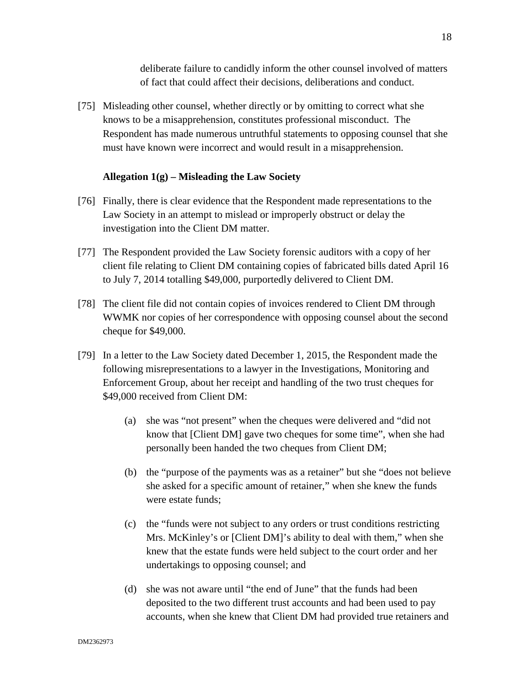deliberate failure to candidly inform the other counsel involved of matters of fact that could affect their decisions, deliberations and conduct.

[75] Misleading other counsel, whether directly or by omitting to correct what she knows to be a misapprehension, constitutes professional misconduct. The Respondent has made numerous untruthful statements to opposing counsel that she must have known were incorrect and would result in a misapprehension.

## **Allegation 1(g) – Misleading the Law Society**

- [76] Finally, there is clear evidence that the Respondent made representations to the Law Society in an attempt to mislead or improperly obstruct or delay the investigation into the Client DM matter.
- [77] The Respondent provided the Law Society forensic auditors with a copy of her client file relating to Client DM containing copies of fabricated bills dated April 16 to July 7, 2014 totalling \$49,000, purportedly delivered to Client DM.
- [78] The client file did not contain copies of invoices rendered to Client DM through WWMK nor copies of her correspondence with opposing counsel about the second cheque for \$49,000.
- [79] In a letter to the Law Society dated December 1, 2015, the Respondent made the following misrepresentations to a lawyer in the Investigations, Monitoring and Enforcement Group, about her receipt and handling of the two trust cheques for \$49,000 received from Client DM:
	- (a) she was "not present" when the cheques were delivered and "did not know that [Client DM] gave two cheques for some time", when she had personally been handed the two cheques from Client DM;
	- (b) the "purpose of the payments was as a retainer" but she "does not believe she asked for a specific amount of retainer," when she knew the funds were estate funds;
	- (c) the "funds were not subject to any orders or trust conditions restricting Mrs. McKinley's or [Client DM]'s ability to deal with them," when she knew that the estate funds were held subject to the court order and her undertakings to opposing counsel; and
	- (d) she was not aware until "the end of June" that the funds had been deposited to the two different trust accounts and had been used to pay accounts, when she knew that Client DM had provided true retainers and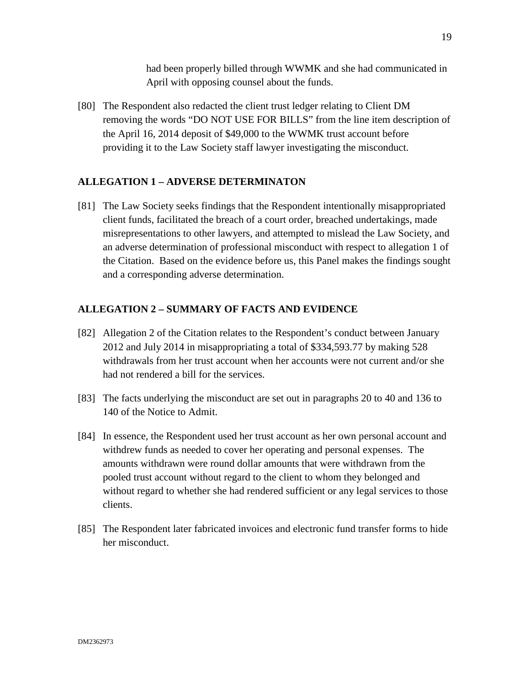had been properly billed through WWMK and she had communicated in April with opposing counsel about the funds.

[80] The Respondent also redacted the client trust ledger relating to Client DM removing the words "DO NOT USE FOR BILLS" from the line item description of the April 16, 2014 deposit of \$49,000 to the WWMK trust account before providing it to the Law Society staff lawyer investigating the misconduct.

# **ALLEGATION 1 – ADVERSE DETERMINATON**

[81] The Law Society seeks findings that the Respondent intentionally misappropriated client funds, facilitated the breach of a court order, breached undertakings, made misrepresentations to other lawyers, and attempted to mislead the Law Society, and an adverse determination of professional misconduct with respect to allegation 1 of the Citation. Based on the evidence before us, this Panel makes the findings sought and a corresponding adverse determination.

# **ALLEGATION 2 – SUMMARY OF FACTS AND EVIDENCE**

- [82] Allegation 2 of the Citation relates to the Respondent's conduct between January 2012 and July 2014 in misappropriating a total of \$334,593.77 by making 528 withdrawals from her trust account when her accounts were not current and/or she had not rendered a bill for the services.
- [83] The facts underlying the misconduct are set out in paragraphs 20 to 40 and 136 to 140 of the Notice to Admit.
- [84] In essence, the Respondent used her trust account as her own personal account and withdrew funds as needed to cover her operating and personal expenses. The amounts withdrawn were round dollar amounts that were withdrawn from the pooled trust account without regard to the client to whom they belonged and without regard to whether she had rendered sufficient or any legal services to those clients.
- [85] The Respondent later fabricated invoices and electronic fund transfer forms to hide her misconduct.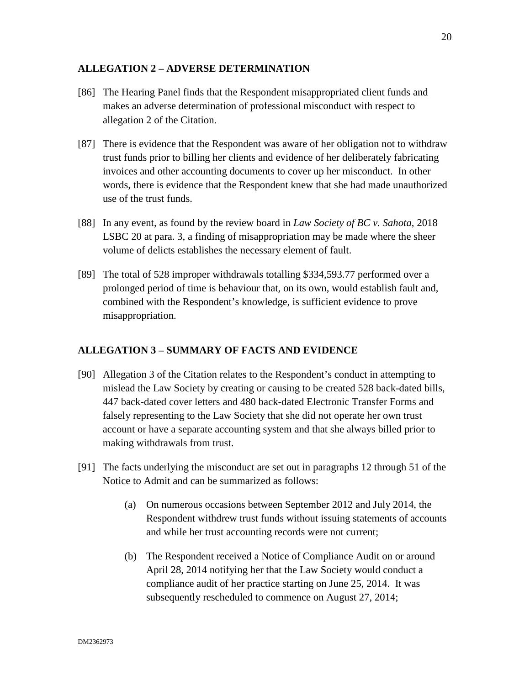### **ALLEGATION 2 – ADVERSE DETERMINATION**

- [86] The Hearing Panel finds that the Respondent misappropriated client funds and makes an adverse determination of professional misconduct with respect to allegation 2 of the Citation.
- [87] There is evidence that the Respondent was aware of her obligation not to withdraw trust funds prior to billing her clients and evidence of her deliberately fabricating invoices and other accounting documents to cover up her misconduct. In other words, there is evidence that the Respondent knew that she had made unauthorized use of the trust funds.
- [88] In any event, as found by the review board in *Law Society of BC v. Sahota*, 2018 LSBC 20 at para. 3, a finding of misappropriation may be made where the sheer volume of delicts establishes the necessary element of fault.
- [89] The total of 528 improper withdrawals totalling \$334,593.77 performed over a prolonged period of time is behaviour that, on its own, would establish fault and, combined with the Respondent's knowledge, is sufficient evidence to prove misappropriation.

# **ALLEGATION 3 – SUMMARY OF FACTS AND EVIDENCE**

- [90] Allegation 3 of the Citation relates to the Respondent's conduct in attempting to mislead the Law Society by creating or causing to be created 528 back-dated bills, 447 back-dated cover letters and 480 back-dated Electronic Transfer Forms and falsely representing to the Law Society that she did not operate her own trust account or have a separate accounting system and that she always billed prior to making withdrawals from trust.
- [91] The facts underlying the misconduct are set out in paragraphs 12 through 51 of the Notice to Admit and can be summarized as follows:
	- (a) On numerous occasions between September 2012 and July 2014, the Respondent withdrew trust funds without issuing statements of accounts and while her trust accounting records were not current;
	- (b) The Respondent received a Notice of Compliance Audit on or around April 28, 2014 notifying her that the Law Society would conduct a compliance audit of her practice starting on June 25, 2014. It was subsequently rescheduled to commence on August 27, 2014;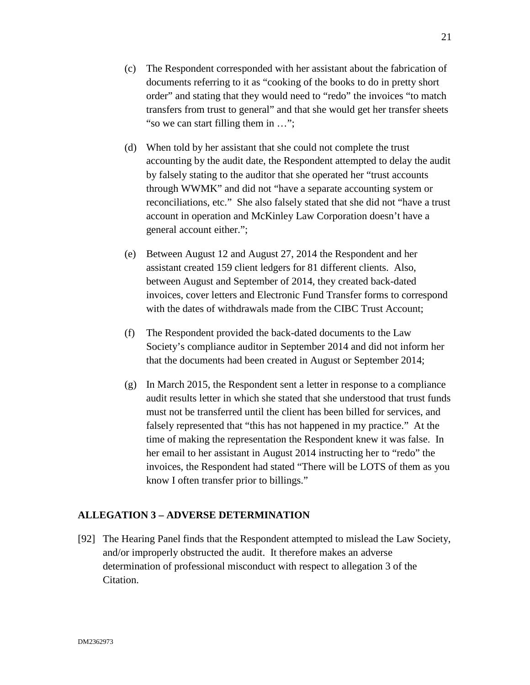- (d) When told by her assistant that she could not complete the trust accounting by the audit date, the Respondent attempted to delay the audit by falsely stating to the auditor that she operated her "trust accounts through WWMK" and did not "have a separate accounting system or reconciliations, etc." She also falsely stated that she did not "have a trust account in operation and McKinley Law Corporation doesn't have a general account either.";
- (e) Between August 12 and August 27, 2014 the Respondent and her assistant created 159 client ledgers for 81 different clients. Also, between August and September of 2014, they created back-dated invoices, cover letters and Electronic Fund Transfer forms to correspond with the dates of withdrawals made from the CIBC Trust Account:
- (f) The Respondent provided the back-dated documents to the Law Society's compliance auditor in September 2014 and did not inform her that the documents had been created in August or September 2014;
- (g) In March 2015, the Respondent sent a letter in response to a compliance audit results letter in which she stated that she understood that trust funds must not be transferred until the client has been billed for services, and falsely represented that "this has not happened in my practice." At the time of making the representation the Respondent knew it was false. In her email to her assistant in August 2014 instructing her to "redo" the invoices, the Respondent had stated "There will be LOTS of them as you know I often transfer prior to billings."

# **ALLEGATION 3 – ADVERSE DETERMINATION**

[92] The Hearing Panel finds that the Respondent attempted to mislead the Law Society, and/or improperly obstructed the audit. It therefore makes an adverse determination of professional misconduct with respect to allegation 3 of the Citation.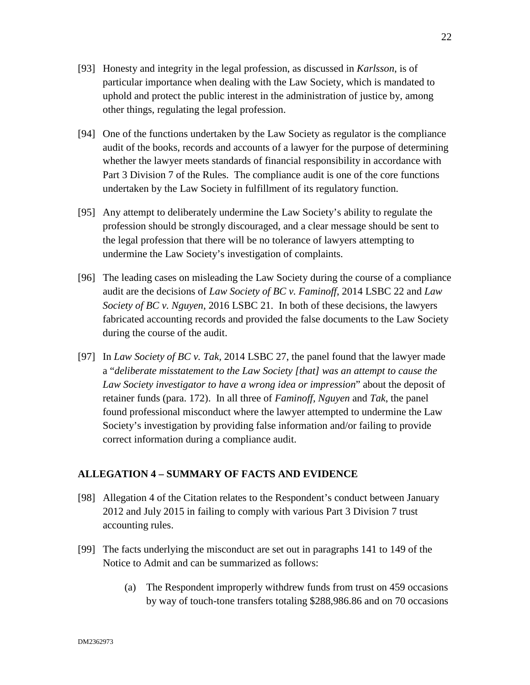- [93] Honesty and integrity in the legal profession, as discussed in *Karlsson*, is of particular importance when dealing with the Law Society, which is mandated to uphold and protect the public interest in the administration of justice by, among other things, regulating the legal profession.
- [94] One of the functions undertaken by the Law Society as regulator is the compliance audit of the books, records and accounts of a lawyer for the purpose of determining whether the lawyer meets standards of financial responsibility in accordance with Part 3 Division 7 of the Rules. The compliance audit is one of the core functions undertaken by the Law Society in fulfillment of its regulatory function.
- [95] Any attempt to deliberately undermine the Law Society's ability to regulate the profession should be strongly discouraged, and a clear message should be sent to the legal profession that there will be no tolerance of lawyers attempting to undermine the Law Society's investigation of complaints.
- [96] The leading cases on misleading the Law Society during the course of a compliance audit are the decisions of *Law Society of BC v. Faminoff*, 2014 LSBC 22 and *Law Society of BC v. Nguyen*, 2016 LSBC 21. In both of these decisions, the lawyers fabricated accounting records and provided the false documents to the Law Society during the course of the audit.
- [97] In *Law Society of BC v. Tak,* 2014 LSBC 27, the panel found that the lawyer made a "*deliberate misstatement to the Law Society [that] was an attempt to cause the Law Society investigator to have a wrong idea or impression*" about the deposit of retainer funds (para. 172). In all three of *Faminoff, Nguyen* and *Tak*, the panel found professional misconduct where the lawyer attempted to undermine the Law Society's investigation by providing false information and/or failing to provide correct information during a compliance audit.

# **ALLEGATION 4 – SUMMARY OF FACTS AND EVIDENCE**

- [98] Allegation 4 of the Citation relates to the Respondent's conduct between January 2012 and July 2015 in failing to comply with various Part 3 Division 7 trust accounting rules.
- [99] The facts underlying the misconduct are set out in paragraphs 141 to 149 of the Notice to Admit and can be summarized as follows:
	- (a) The Respondent improperly withdrew funds from trust on 459 occasions by way of touch-tone transfers totaling \$288,986.86 and on 70 occasions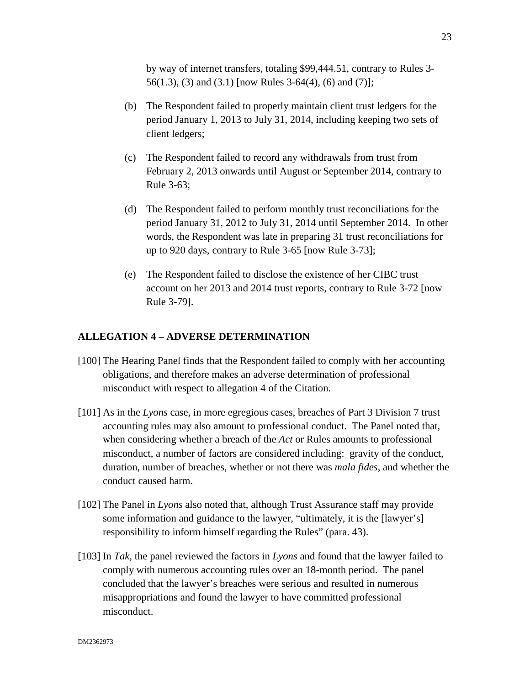by way of internet transfers, totaling \$99,444.51, contrary to Rules 3- 56(1.3), (3) and (3.1) [now Rules 3-64(4), (6) and (7)];

- (b) The Respondent failed to properly maintain client trust ledgers for the period January 1, 2013 to July 31, 2014, including keeping two sets of client ledgers;
- (c) The Respondent failed to record any withdrawals from trust from February 2, 2013 onwards until August or September 2014, contrary to Rule 3-63;
- (d) The Respondent failed to perform monthly trust reconciliations for the period January 31, 2012 to July 31, 2014 until September 2014. In other words, the Respondent was late in preparing 31 trust reconciliations for up to 920 days, contrary to Rule 3-65 [now Rule 3-73];
- (e) The Respondent failed to disclose the existence of her CIBC trust account on her 2013 and 2014 trust reports, contrary to Rule 3-72 [now Rule 3-79].

#### **ALLEGATION 4 – ADVERSE DETERMINATION**

- [100] The Hearing Panel finds that the Respondent failed to comply with her accounting obligations, and therefore makes an adverse determination of professional misconduct with respect to allegation 4 of the Citation.
- [101] As in the *Lyons* case, in more egregious cases, breaches of Part 3 Division 7 trust accounting rules may also amount to professional conduct. The Panel noted that, when considering whether a breach of the *Act* or Rules amounts to professional misconduct, a number of factors are considered including: gravity of the conduct, duration, number of breaches, whether or not there was *mala fides*, and whether the conduct caused harm.
- [102] The Panel in *Lyons* also noted that, although Trust Assurance staff may provide some information and guidance to the lawyer, "ultimately, it is the [lawyer's] responsibility to inform himself regarding the Rules" (para. 43).
- [103] In *Tak,* the panel reviewed the factors in *Lyons* and found that the lawyer failed to comply with numerous accounting rules over an 18-month period. The panel concluded that the lawyer's breaches were serious and resulted in numerous misappropriations and found the lawyer to have committed professional misconduct.